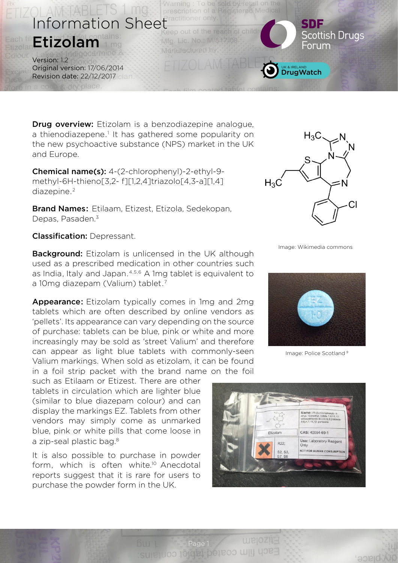

**Drug overview:** Etizolam is a benzodiazepine analogue, a thienodiazepene.<sup>1</sup> It has gathered some popularity on the new psychoactive substance (NPS) market in the UK and Europe.

Chemical name(s): 4-(2-chlorophenyl)-2-ethyl-9 methyl-6H-thieno[3,2- f][1,2,4]triazolo[4,3-a][1,4] diazepine.<sup>2</sup>

Brand Names: Etilaam, Etizest, Etizola, Sedekopan, Depas, Pasaden.<sup>3</sup>

Classification: Depressant.

**Background:** Etizolam is unlicensed in the UK although used as a prescribed medication in other countries such as India, Italy and Japan.<sup>4,5,6</sup> A 1mg tablet is equivalent to a 10mg diazepam (Valium) tablet.7

Appearance: Etizolam typically comes in 1mg and 2mg tablets which are often described by online vendors as 'pellets'. Its appearance can vary depending on the source of purchase: tablets can be blue, pink or white and more increasingly may be sold as 'street Valium' and therefore can appear as light blue tablets with commonly-seen Valium markings. When sold as etizolam, it can be found in a foil strip packet with the brand name on the foil

such as Etilaam or Etizest. There are other tablets in circulation which are lighter blue (similar to blue diazepam colour) and can display the markings EZ. Tablets from other vendors may simply come as unmarked blue, pink or white pills that come loose in a zip-seal plastic bag.<sup>8</sup>

It is also possible to purchase in powder form, which is often white.<sup>10</sup> Anecdotal reports suggest that it is rare for users to purchase the powder form in the UK.



Image: Wikimedia commons



Image: Police Scotland 9

blace



Page 1<br>Sulle Luco 1000 Luco 1000 Luci 1000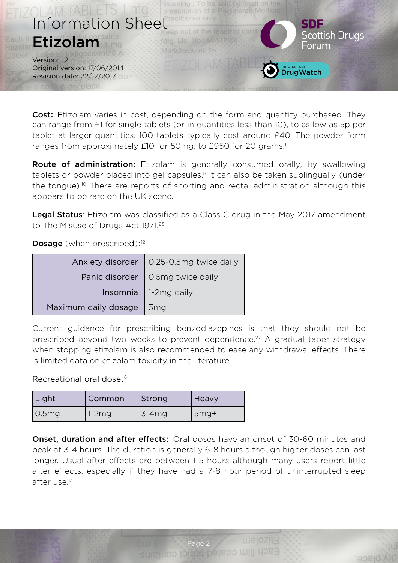

**Cost:** Etizolam varies in cost, depending on the form and quantity purchased. They can range from £1 for single tablets (or in quantities less than 10), to as low as 5p per tablet at larger quantities. 100 tablets typically cost around £40. The powder form ranges from approximately £10 for 50mg, to £950 for 20 grams.<sup>11</sup>

Route of administration: Etizolam is generally consumed orally, by swallowing tablets or powder placed into gel capsules.<sup>8</sup> It can also be taken sublingually (under the tongue).10 There are reports of snorting and rectal administration although this appears to be rare on the UK scene.

**Legal Status:** Etizolam was classified as a Class C drug in the May 2017 amendment to The Misuse of Drugs Act 1971.<sup>23</sup>

Dosage (when prescribed):<sup>12</sup>

|                      | Anxiety disorder   0.25-0.5mg twice daily |  |
|----------------------|-------------------------------------------|--|
|                      | Panic disorder   0.5mg twice daily        |  |
|                      | Insomnia   1-2mg daily                    |  |
| Maximum daily dosage | 3 <sub>mg</sub>                           |  |

Current guidance for prescribing benzodiazepines is that they should not be prescribed beyond two weeks to prevent dependence.<sup>27</sup> A gradual taper strategy when stopping etizolam is also recommended to ease any withdrawal effects. There is limited data on etizolam toxicity in the literature.

## Recreational oral dose: 8

| Light           | Common  | Strong   | Heavy  |
|-----------------|---------|----------|--------|
| $\sqrt{0.5}$ mg | $1-2mg$ | $3-4$ mg | $5mg+$ |

**Onset, duration and after effects:** Oral doses have an onset of 30-60 minutes and peak at 3-4 hours. The duration is generally 6-8 hours although higher doses can last longer. Usual after effects are between 1-5 hours although many users report little after effects, especially if they have had a 7-8 hour period of uninterrupted sleep after use.13

Page 2<br>Sulle UOO 1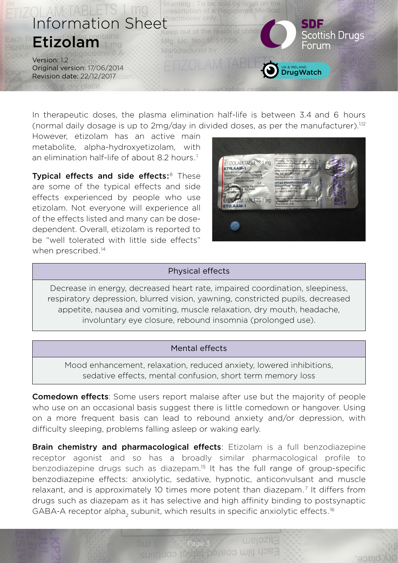

In therapeutic doses, the plasma elimination half-life is between 3.4 and 6 hours (normal daily dosage is up to  $2mg/day$  in divided doses, as per the manufacturer).<sup>1,12</sup>

However, etizolam has an active main metabolite, alpha-hydroxyetizolam, with an elimination half-life of about 8.2 hours.<sup>1</sup>

Typical effects and side effects:<sup>8</sup> These are some of the typical effects and side effects experienced by people who use etizolam. Not everyone will experience all of the effects listed and many can be dosedependent. Overall, etizolam is reported to be "well tolerated with little side effects" when prescribed.<sup>14</sup>



place

### Physical effects

Decrease in energy, decreased heart rate, impaired coordination, sleepiness, respiratory depression, blurred vision, yawning, constricted pupils, decreased appetite, nausea and vomiting, muscle relaxation, dry mouth, headache, involuntary eye closure, rebound insomnia (prolonged use).

### Mental effects

Mood enhancement, relaxation, reduced anxiety, lowered inhibitions, sedative effects, mental confusion, short term memory loss

**Comedown effects:** Some users report malaise after use but the majority of people who use on an occasional basis suggest there is little comedown or hangover. Using on a more frequent basis can lead to rebound anxiety and/or depression, with difficulty sleeping, problems falling asleep or waking early.

**Brain chemistry and pharmacological effects:** Etizolam is a full benzodiazepine receptor agonist and so has a broadly similar pharmacological profile to benzodiazepine drugs such as diazepam.<sup>15</sup> It has the full range of group-specific benzodiazepine effects: anxiolytic, sedative, hypnotic, anticonvulsant and muscle relaxant, and is approximately 10 times more potent than diazepam.<sup>7</sup> It differs from drugs such as diazepam as it has selective and high affinity binding to postsynaptic GABA-A receptor alpha<sub>2</sub> subunit, which results in specific anxiolytic effects.<sup>16</sup>

Page 3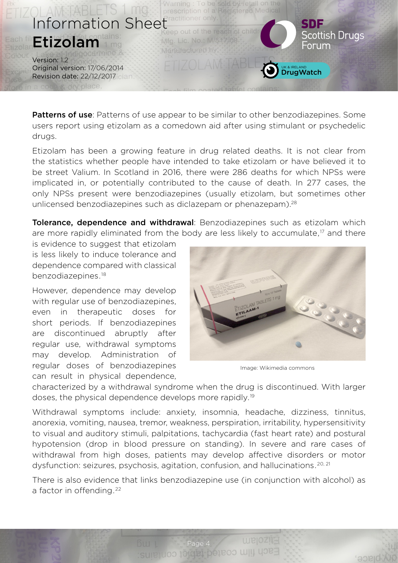

Patterns of use: Patterns of use appear to be similar to other benzodiazepines. Some users report using etizolam as a comedown aid after using stimulant or psychedelic drugs.

Etizolam has been a growing feature in drug related deaths. It is not clear from the statistics whether people have intended to take etizolam or have believed it to be street Valium. In Scotland in 2016, there were 286 deaths for which NPSs were implicated in, or potentially contributed to the cause of death. In 277 cases, the only NPSs present were benzodiazepines (usually etizolam, but sometimes other unlicensed benzodiazepines such as diclazepam or phenazepam).<sup>28</sup>

Tolerance, dependence and withdrawal: Benzodiazepines such as etizolam which are more rapidly eliminated from the body are less likely to accumulate,<sup>17</sup> and there

is evidence to suggest that etizolam is less likely to induce tolerance and dependence compared with classical benzodiazepines.18

However, dependence may develop with regular use of benzodiazepines, even in therapeutic doses for short periods. If benzodiazepines are discontinued abruptly after regular use, withdrawal symptoms may develop. Administration of regular doses of benzodiazepines can result in physical dependence,



Image: Wikimedia commons

**Diace** 

characterized by a withdrawal syndrome when the drug is discontinued. With larger doses, the physical dependence develops more rapidly.19

Withdrawal symptoms include: anxiety, insomnia, headache, dizziness, tinnitus, anorexia, vomiting, nausea, tremor, weakness, perspiration, irritability, hypersensitivity to visual and auditory stimuli, palpitations, tachycardia (fast heart rate) and postural hypotension (drop in blood pressure on standing). In severe and rare cases of withdrawal from high doses, patients may develop affective disorders or motor dysfunction: seizures, psychosis, agitation, confusion, and hallucinations.<sup>20, 21</sup>

There is also evidence that links benzodiazepine use (in conjunction with alcohol) as a factor in offending.<sup>22</sup>

Page 4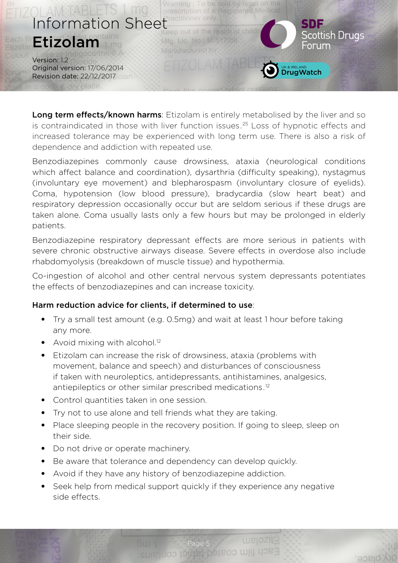

Long term effects/known harms: Etizolam is entirely metabolised by the liver and so is contraindicated in those with liver function issues.<sup>25</sup> Loss of hypnotic effects and increased tolerance may be experienced with long term use. There is also a risk of dependence and addiction with repeated use.

Benzodiazepines commonly cause drowsiness, ataxia (neurological conditions which affect balance and coordination), dysarthria (difficulty speaking), nystagmus (involuntary eye movement) and blepharospasm (involuntary closure of eyelids). Coma, hypotension (low blood pressure), bradycardia (slow heart beat) and respiratory depression occasionally occur but are seldom serious if these drugs are taken alone. Coma usually lasts only a few hours but may be prolonged in elderly patients.

Benzodiazepine respiratory depressant effects are more serious in patients with severe chronic obstructive airways disease. Severe effects in overdose also include rhabdomyolysis (breakdown of muscle tissue) and hypothermia.

Co-ingestion of alcohol and other central nervous system depressants potentiates the effects of benzodiazepines and can increase toxicity.

# Harm reduction advice for clients, if determined to use:

- Try a small test amount (e.g. 0.5mg) and wait at least 1 hour before taking any more.
- Avoid mixing with alcohol. $12$
- Etizolam can increase the risk of drowsiness, ataxia (problems with movement, balance and speech) and disturbances of consciousness if taken with neuroleptics, antidepressants, antihistamines, analgesics, antiepileptics or other similar prescribed medications.12
- Control quantities taken in one session.
- Try not to use alone and tell friends what they are taking.
- Place sleeping people in the recovery position. If going to sleep, sleep on their side.
- Do not drive or operate machinery.
- Be aware that tolerance and dependency can develop quickly.
- Avoid if they have any history of benzodiazepine addiction.
- Seek help from medical support quickly if they experience any negative side effects.

Page 5<br>Sulle LUOO 1

blace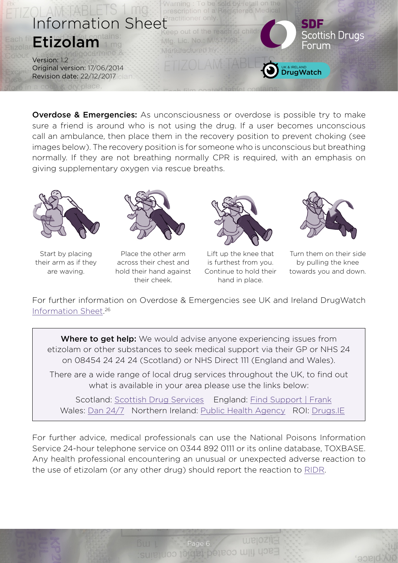

**Overdose & Emergencies:** As unconsciousness or overdose is possible try to make sure a friend is around who is not using the drug. If a user becomes unconscious call an ambulance, then place them in the recovery position to prevent choking (see images below). The recovery position is for someone who is unconscious but breathing normally. If they are not breathing normally CPR is required, with an emphasis on giving supplementary oxygen via rescue breaths.



Start by placing their arm as if they are waving.



Place the other arm across their chest and hold their hand against their cheek.



Lift up the knee that is furthest from you. Continue to hold their hand in place.



Turn them on their side by pulling the knee towards you and down.

place

For further information on Overdose & Emergencies see UK and Ireland DrugWatch [Information Sheet](http://www.thedrugswheel.com/resources/DrugWatchOD_Emergency_1_1.pdf). 26

Where to get help: We would advise anyone experiencing issues from etizolam or other substances to seek medical support via their GP or NHS 24 on 08454 24 24 24 (Scotland) or NHS Direct 111 (England and Wales).

There are a wide range of local drug services throughout the UK, to find out what is available in your area please use the links below:

 Scotland: [Scottish Drug Services](http://www.scottishdrugservices.com) England: Find Support | Frank Wales: [Dan 24/7](http://dan247.org.uk) Northern Ireland: [Public Health Agency](http://www.publichealth.hscni.net) ROI: [Drugs.IE](http://www.drugs.ie)

For further advice, medical professionals can use the National Poisons Information Service 24-hour telephone service on 0344 892 0111 or its online database, TOXBASE. Any health professional encountering an unusual or unexpected adverse reaction to the use of etizolam (or any other drug) should report the reaction to [RIDR](https://report-illicit-drug-reaction.phe.gov.uk).

Page 6 MILLION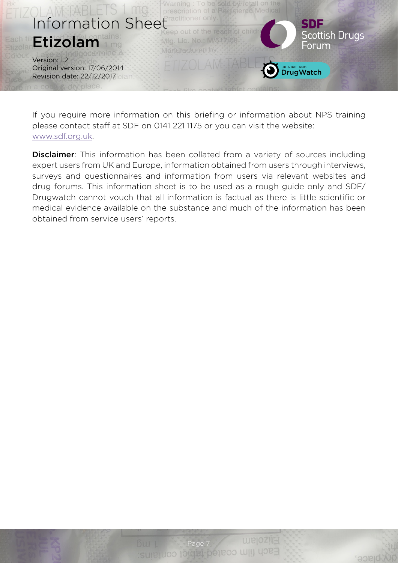

If you require more information on this briefing or information about NPS training please contact staff at SDF on 0141 221 1175 or you can visit the website: [www.sdf.org.uk](http://www.sdf.org.uk).

**Disclaimer**: This information has been collated from a variety of sources including expert users from UK and Europe, information obtained from users through interviews, surveys and questionnaires and information from users via relevant websites and drug forums. This information sheet is to be used as a rough guide only and SDF/ Drugwatch cannot vouch that all information is factual as there is little scientific or medical evidence available on the substance and much of the information has been obtained from service users' reports.

place,